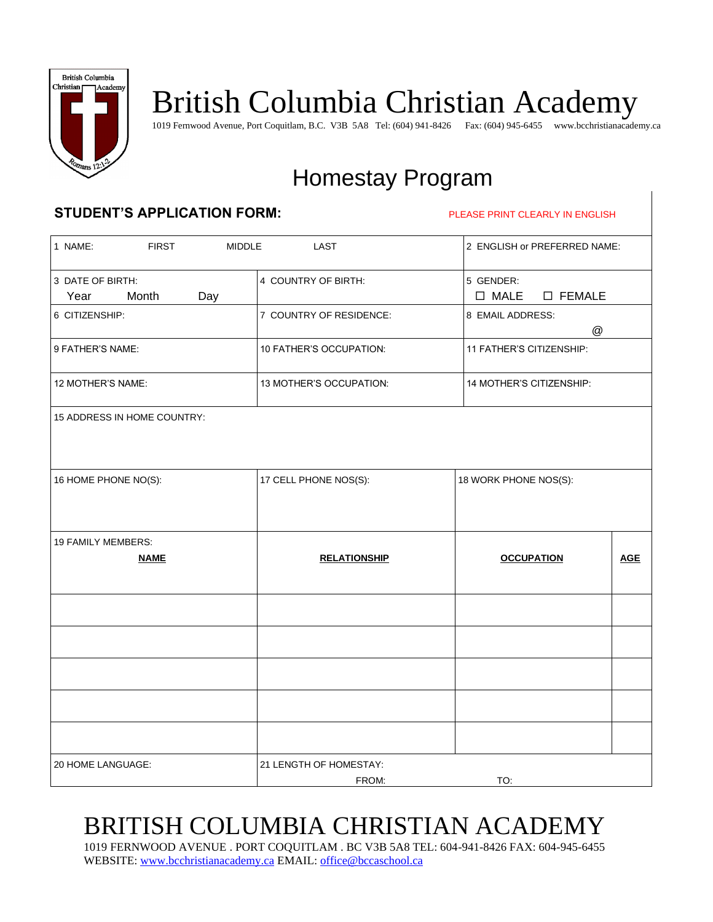

# British Columbia Christian Academy

1019 Fernwood Avenue, Port Coquitlam, B.C. V3B 5A8 Tel: (604) 941-8426 Fax: (604) 945-6455 www.bcchristianacademy.ca

# Homestay Program

#### **STUDENT'S APPLICATION FORM:** PLEASE PRINT CLEARLY IN ENGLISH

| 1 NAME:<br><b>FIRST</b><br><b>MIDDLE</b> | LAST                            | 2 ENGLISH or PREFERRED NAME:                    |  |  |
|------------------------------------------|---------------------------------|-------------------------------------------------|--|--|
| 3 DATE OF BIRTH:<br>Year<br>Month<br>Day | 4 COUNTRY OF BIRTH:             | 5 GENDER:<br>$\square$ MALE<br>$\square$ FEMALE |  |  |
| 6 CITIZENSHIP:                           | 7 COUNTRY OF RESIDENCE:         | 8 EMAIL ADDRESS:<br>@                           |  |  |
| 9 FATHER'S NAME:                         | 10 FATHER'S OCCUPATION:         | 11 FATHER'S CITIZENSHIP:                        |  |  |
| 12 MOTHER'S NAME:                        | 13 MOTHER'S OCCUPATION:         | 14 MOTHER'S CITIZENSHIP:                        |  |  |
| 15 ADDRESS IN HOME COUNTRY:              |                                 |                                                 |  |  |
| 16 HOME PHONE NO(S):                     | 17 CELL PHONE NOS(S):           | 18 WORK PHONE NOS(S):                           |  |  |
| 19 FAMILY MEMBERS:<br><b>NAME</b>        | <b>RELATIONSHIP</b>             | <b>OCCUPATION</b><br><b>AGE</b>                 |  |  |
|                                          |                                 |                                                 |  |  |
|                                          |                                 |                                                 |  |  |
|                                          |                                 |                                                 |  |  |
|                                          |                                 |                                                 |  |  |
|                                          |                                 |                                                 |  |  |
| 20 HOME LANGUAGE:                        | 21 LENGTH OF HOMESTAY:<br>FROM: | TO:                                             |  |  |

# BRITISH COLUMBIA CHRISTIAN ACADEMY

1019 FERNWOOD AVENUE . PORT COQUITLAM . BC V3B 5A8 TEL: 604-941-8426 FAX: 604-945-6455 WEBSITE[: www.bcchristianacademy.ca](http://www.bcchristianacademy.ca/) EMAIL: [office@bccaschool.ca](mailto:office@bccaschool.ca)